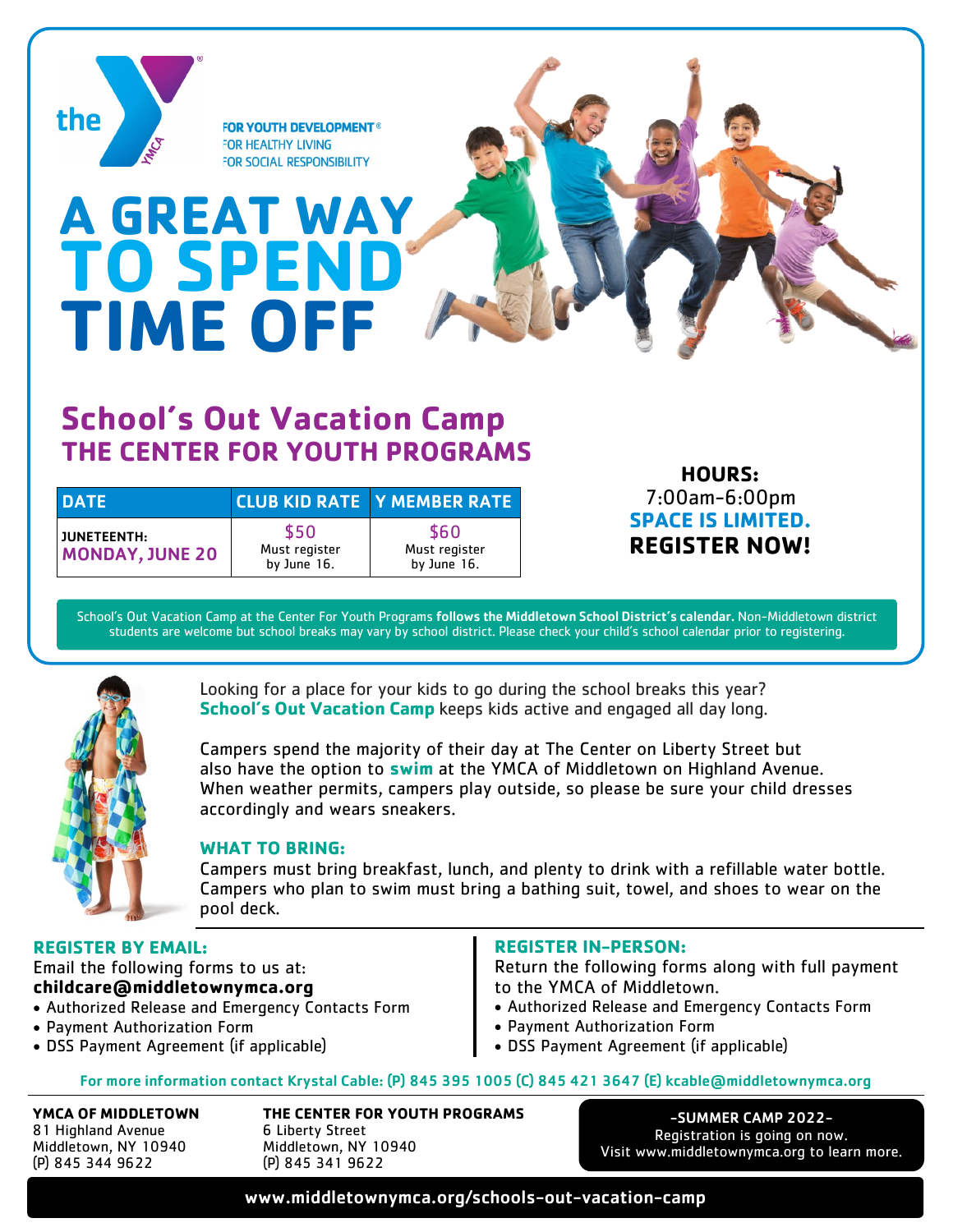

## **School's Out Vacation Camp THE CENTER FOR YOUTH PROGRAMS**

| <b>DATE</b>                           |                                      | <b>CLUB KID RATE Y MEMBER RATE</b>   |
|---------------------------------------|--------------------------------------|--------------------------------------|
| JUNETEENTH:<br><b>MONDAY, JUNE 20</b> | \$50<br>Must register<br>by June 16. | \$60<br>Must register<br>by June 16. |

**HOURS:** 7:00am-6:00pm **SPACE IS LIMITED. REGISTER NOW!**

School's Out Vacation Camp at the Center For Youth Programs follows the Middletown School District's calendar. Non-Middletown district students are welcome but school breaks may vary by school district. Please check your child's school calendar prior to registering.



Looking for a place for your kids to go during the school breaks this year? **School's Out Vacation Camp** keeps kids active and engaged all day long.

Campers spend the majority of their day at The Center on Liberty Street but also have the option to **swim** at the YMCA of Middletown on Highland Avenue. When weather permits, campers play outside, so please be sure your child dresses accordingly and wears sneakers.

## **WHAT TO BRING:**

Campers must bring breakfast, lunch, and plenty to drink with a refillable water bottle. Campers who plan to swim must bring a bathing suit, towel, and shoes to wear on the pool deck.

## **REGISTER BY EMAIL:**

Email the following forms to us at: **childcare@middletownymca.org**

- Authorized Release and Emergency Contacts Form
- Payment Authorization Form
- DSS Payment Agreement (if applicable)

## **REGISTER IN-PERSON:**

Return the following forms along with full payment to the YMCA of Middletown.

- Authorized Release and Emergency Contacts Form
- Payment Authorization Form
- DSS Payment Agreement (if applicable)

For more information contact Krystal Cable: (P) 845 395 1005 (C) 845 421 3647 (E) kcable@middletownymca.org

**YMCA OF MIDDLETOWN** 81 Highland Avenue Middletown, NY 10940 (P) 845 344 9622

**THE CENTER FOR YOUTH PROGRAMS** 6 Liberty Street Middletown, NY 10940 (P) 845 341 9622

-SUMMER CAMP 2022- Registration is going on now. Visit www.middletownymca.org to learn more.

www.middletownymca.org/schools-out-vacation-camp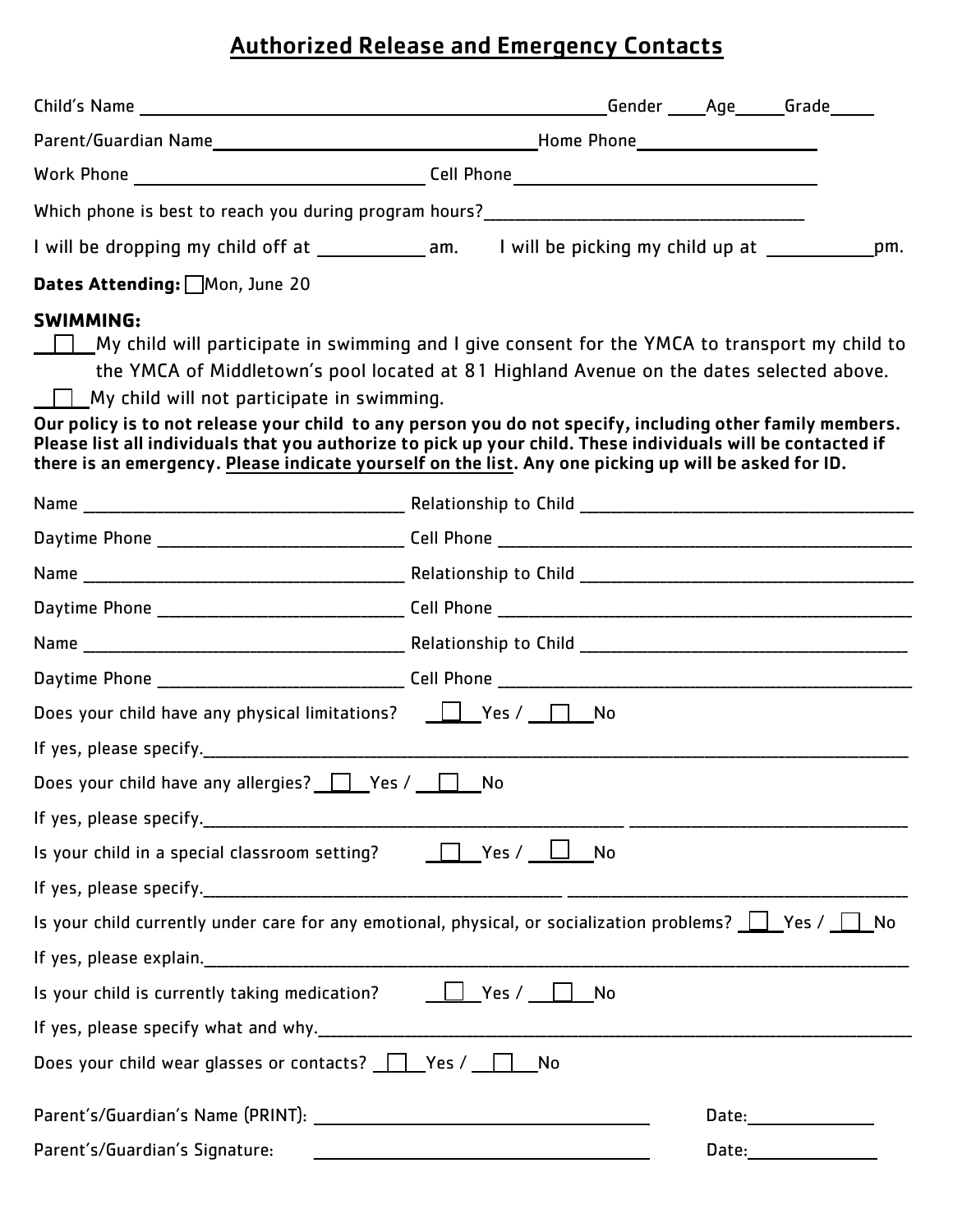# Authorized Release and Emergency Contacts

| I will be dropping my child off at _______________am. I will be picking my child up at _____________pm.                                                                                                                                                                                                                                                                                                                                                                                                                                                                                                   |  |  |  |  |  |  |
|-----------------------------------------------------------------------------------------------------------------------------------------------------------------------------------------------------------------------------------------------------------------------------------------------------------------------------------------------------------------------------------------------------------------------------------------------------------------------------------------------------------------------------------------------------------------------------------------------------------|--|--|--|--|--|--|
| Dates Attending: Mon, June 20                                                                                                                                                                                                                                                                                                                                                                                                                                                                                                                                                                             |  |  |  |  |  |  |
| <b>SWIMMING:</b><br>My child will participate in swimming and I give consent for the YMCA to transport my child to<br>the YMCA of Middletown's pool located at 81 Highland Avenue on the dates selected above.<br>$\Box$ My child will not participate in swimming.<br>Our policy is to not release your child to any person you do not specify, including other family members.<br>Please list all individuals that you authorize to pick up your child. These individuals will be contacted if<br>there is an emergency. Please indicate yourself on the list. Any one picking up will be asked for ID. |  |  |  |  |  |  |
|                                                                                                                                                                                                                                                                                                                                                                                                                                                                                                                                                                                                           |  |  |  |  |  |  |
|                                                                                                                                                                                                                                                                                                                                                                                                                                                                                                                                                                                                           |  |  |  |  |  |  |
|                                                                                                                                                                                                                                                                                                                                                                                                                                                                                                                                                                                                           |  |  |  |  |  |  |
|                                                                                                                                                                                                                                                                                                                                                                                                                                                                                                                                                                                                           |  |  |  |  |  |  |
|                                                                                                                                                                                                                                                                                                                                                                                                                                                                                                                                                                                                           |  |  |  |  |  |  |
|                                                                                                                                                                                                                                                                                                                                                                                                                                                                                                                                                                                                           |  |  |  |  |  |  |
| Does your child have any physical limitations? $\Box$ Yes / $\Box$ No                                                                                                                                                                                                                                                                                                                                                                                                                                                                                                                                     |  |  |  |  |  |  |
|                                                                                                                                                                                                                                                                                                                                                                                                                                                                                                                                                                                                           |  |  |  |  |  |  |
| Does your child have any allergies? $\Box$ Yes / $\Box$ No                                                                                                                                                                                                                                                                                                                                                                                                                                                                                                                                                |  |  |  |  |  |  |
|                                                                                                                                                                                                                                                                                                                                                                                                                                                                                                                                                                                                           |  |  |  |  |  |  |
| Is your child in a special classroom setting? $\Box$ Yes / $\Box$ No                                                                                                                                                                                                                                                                                                                                                                                                                                                                                                                                      |  |  |  |  |  |  |
|                                                                                                                                                                                                                                                                                                                                                                                                                                                                                                                                                                                                           |  |  |  |  |  |  |
| Is your child currently under care for any emotional, physical, or socialization problems? $\Box$ Yes / $\Box$ No                                                                                                                                                                                                                                                                                                                                                                                                                                                                                         |  |  |  |  |  |  |
|                                                                                                                                                                                                                                                                                                                                                                                                                                                                                                                                                                                                           |  |  |  |  |  |  |
| Is your child is currently taking medication? $\Box$ Yes / $\Box$ No                                                                                                                                                                                                                                                                                                                                                                                                                                                                                                                                      |  |  |  |  |  |  |
|                                                                                                                                                                                                                                                                                                                                                                                                                                                                                                                                                                                                           |  |  |  |  |  |  |
| Does your child wear glasses or contacts? $\Box$ Yes / $\Box$ No                                                                                                                                                                                                                                                                                                                                                                                                                                                                                                                                          |  |  |  |  |  |  |
|                                                                                                                                                                                                                                                                                                                                                                                                                                                                                                                                                                                                           |  |  |  |  |  |  |
| Parent's/Guardian's Signature:                                                                                                                                                                                                                                                                                                                                                                                                                                                                                                                                                                            |  |  |  |  |  |  |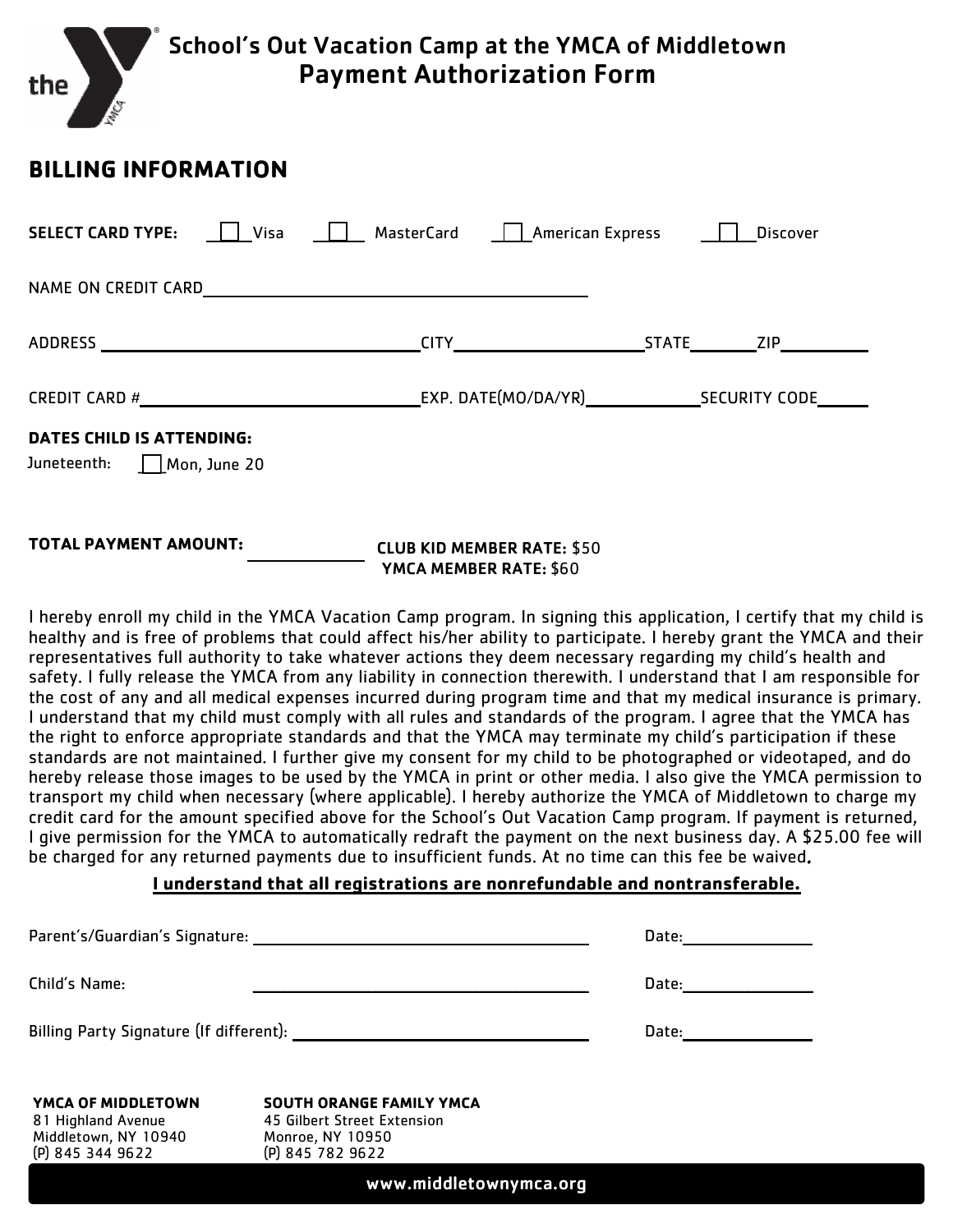

## BILLING INFORMATION

| <b>SELECT CARD TYPE:</b><br>$\perp$ Visa                        | MasterCard   American Express                                     | <b>Discover</b> |
|-----------------------------------------------------------------|-------------------------------------------------------------------|-----------------|
| NAME ON CREDIT CARD                                             | <u> 1989 - Johann John Stone, mars eta biztanleria (h. 1989).</u> |                 |
|                                                                 |                                                                   |                 |
|                                                                 |                                                                   |                 |
| <b>DATES CHILD IS ATTENDING:</b><br>Juneteenth:<br>Mon, June 20 |                                                                   |                 |

## TOTAL PAYMENT AMOUNT: CLUB KID MEMBER RATE: \$50 YMCA MEMBER RATE: \$60

I hereby enroll my child in the YMCA Vacation Camp program. In signing this application, I certify that my child is healthy and is free of problems that could affect his/her ability to participate. I hereby grant the YMCA and their representatives full authority to take whatever actions they deem necessary regarding my child's health and safety. I fully release the YMCA from any liability in connection therewith. I understand that I am responsible for the cost of any and all medical expenses incurred during program time and that my medical insurance is primary. I understand that my child must comply with all rules and standards of the program. I agree that the YMCA has the right to enforce appropriate standards and that the YMCA may terminate my child's participation if these standards are not maintained. I further give my consent for my child to be photographed or videotaped, and do hereby release those images to be used by the YMCA in print or other media. I also give the YMCA permission to transport my child when necessary (where applicable). I hereby authorize the YMCA of Middletown to charge my credit card for the amount specified above for the School's Out Vacation Camp program. If payment is returned, I give permission for the YMCA to automatically redraft the payment on the next business day. A \$25.00 fee will be charged for any returned payments due to insufficient funds. At no time can this fee be waived.

## I understand that all registrations are nonrefundable and nontransferable.

|                                            | Parent's/Guardian's Signature: Note that the set of the set of the set of the set of the set of the set of the | Date: _________ |  |  |
|--------------------------------------------|----------------------------------------------------------------------------------------------------------------|-----------------|--|--|
| Child's Name:                              |                                                                                                                | Date:           |  |  |
|                                            |                                                                                                                | Date:           |  |  |
| YMCA OF MIDDLETOWN                         | <b>SOUTH ORANGE FAMILY YMCA</b>                                                                                |                 |  |  |
| 81 Highland Avenue<br>Middletown, NY 10940 | 45 Gilbert Street Extension<br>Monroe, NY 10950                                                                |                 |  |  |
| (P) 845 344 9622                           | (P) 845 782 9622                                                                                               |                 |  |  |
| www.middletownymca.org                     |                                                                                                                |                 |  |  |